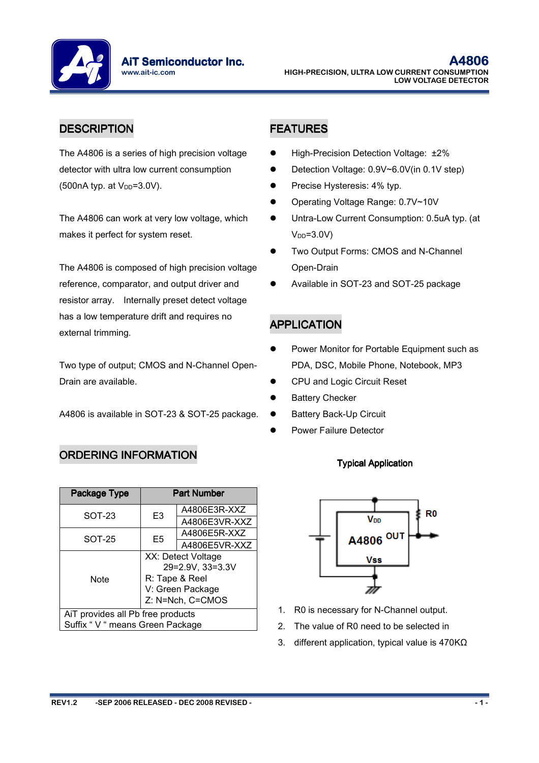**AiT Semiconductor Inc.** www.ait-ic.com

## DESCRIPTION **FEATURES**

The A4806 is a series of high precision voltage detector with ultra low current consumption  $(500nA$  typ. at  $V_{DD} = 3.0V$ ).

The A4806 can work at very low voltage, which makes it perfect for system reset.

The A4806 is composed of high precision voltage reference, comparator, and output driver and resistor array. Internally preset detect voltage has a low temperature drift and requires no external trimming.

Two type of output; CMOS and N-Channel Open-Drain are available.

A4806 is available in SOT-23 & SOT-25 package.

## ORDERING INFORMATION

| Package Type                      |                                                          | <b>Part Number</b> |  |  |  |  |
|-----------------------------------|----------------------------------------------------------|--------------------|--|--|--|--|
| SOT-23                            | E <sub>3</sub>                                           | A4806E3R-XXZ       |  |  |  |  |
|                                   |                                                          | A4806E3VR-XXZ      |  |  |  |  |
| SOT-25                            |                                                          | A4806E5R-XXZ       |  |  |  |  |
|                                   | E <sub>5</sub>                                           | A4806E5VR-XXZ      |  |  |  |  |
| <b>Note</b>                       | XX: Detect Voltage<br>29=2.9V, 33=3.3V<br>R: Tape & Reel |                    |  |  |  |  |
|                                   | V: Green Package<br>Z: N=Nch, C=CMOS                     |                    |  |  |  |  |
| AiT provides all Pb free products |                                                          |                    |  |  |  |  |
| Suffix " V " means Green Package  |                                                          |                    |  |  |  |  |

- High-Precision Detection Voltage: ±2%
- Detection Voltage: 0.9V~6.0V(in 0.1V step)
- Precise Hysteresis: 4% typ.
- Operating Voltage Range: 0.7V~10V
- Untra-Low Current Consumption: 0.5uA typ. (at  $V<sub>DD</sub>=3.0V$
- Two Output Forms: CMOS and N-Channel Open-Drain
- Available in SOT-23 and SOT-25 package

## APPLICATION

- Power Monitor for Portable Equipment such as PDA, DSC, Mobile Phone, Notebook, MP3
- CPU and Logic Circuit Reset
- Battery Checker
- Battery Back-Up Circuit
- Power Failure Detector

## **Typical Application**



- 1. R0 is necessary for N-Channel output.
- 2. The value of R0 need to be selected in
- 3. different application, typical value is 470KΩ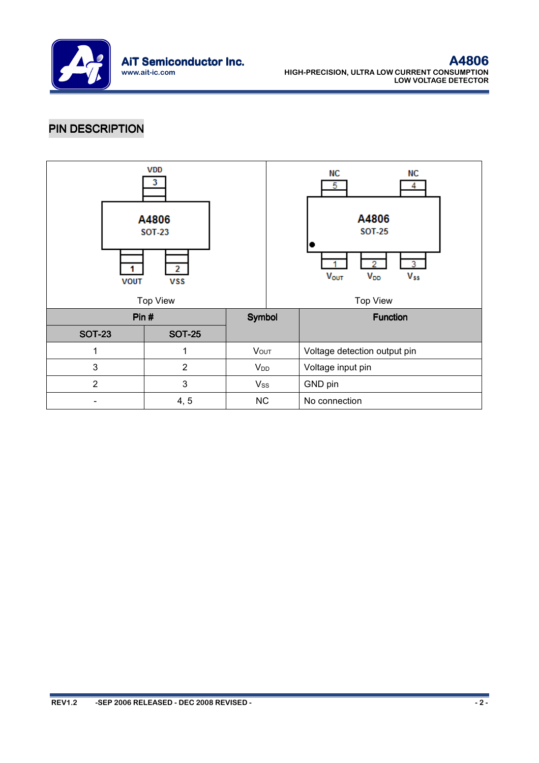

# PIN DESCRIPTION

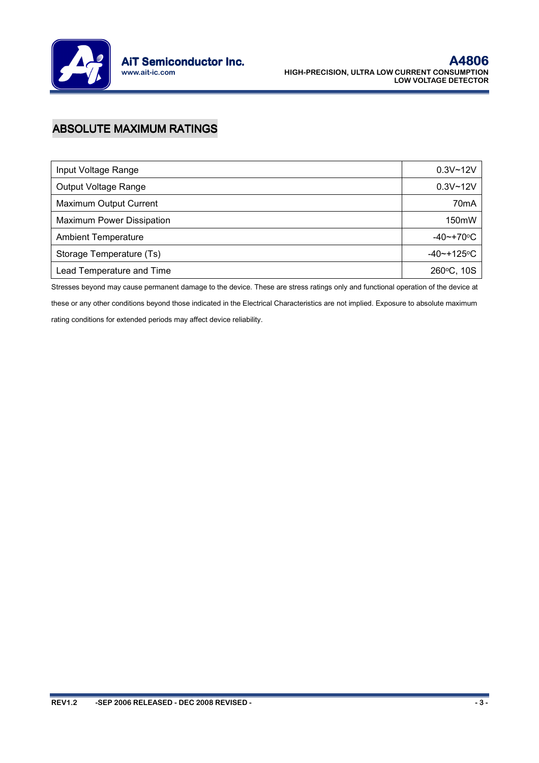

# **ABSOLUTE MAXIMUM RATINGS**

| Input Voltage Range              | $0.3V - 12V$         |
|----------------------------------|----------------------|
| Output Voltage Range             | $0.3V - 12V$         |
| Maximum Output Current           | 70 <sub>m</sub> A    |
| <b>Maximum Power Dissipation</b> | 150mW                |
| <b>Ambient Temperature</b>       | $-40$ ~+70 $\circ$ C |
| Storage Temperature (Ts)         | -40~+125°C           |
| Lead Temperature and Time        | 260°C, 10S           |

Stresses beyond may cause permanent damage to the device. These are stress ratings only and functional operation of the device at these or any other conditions beyond those indicated in the Electrical Characteristics are not implied. Exposure to absolute maximum

rating conditions for extended periods may affect device reliability.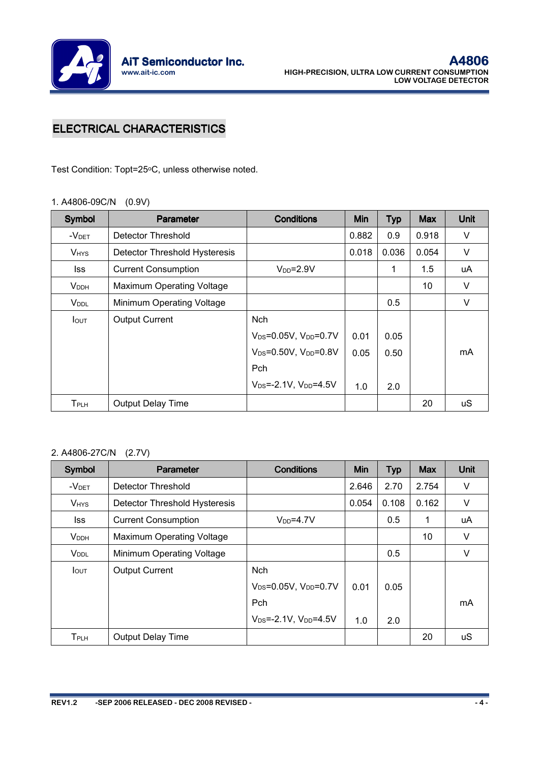

# **ELECTRICAL CHARACTERISTICS**

Test Condition: Topt=25°C, unless otherwise noted.

#### 1. A4806-09C/N (0.9V)

| <b>Symbol</b>           | <b>Parameter</b>                 | <b>Conditions</b>                             | <b>Min</b> | <b>Typ</b> | <b>Max</b> | Unit |
|-------------------------|----------------------------------|-----------------------------------------------|------------|------------|------------|------|
| $-VDET$                 | Detector Threshold               |                                               | 0.882      | 0.9        | 0.918      | V    |
| <b>V</b> <sub>HYS</sub> | Detector Threshold Hysteresis    |                                               | 0.018      | 0.036      | 0.054      | V    |
| lss                     | <b>Current Consumption</b>       | $V_{DD} = 2.9V$                               |            | 1          | 1.5        | uA   |
| <b>V</b> <sub>DDH</sub> | <b>Maximum Operating Voltage</b> |                                               |            |            | 10         | V    |
| <b>V</b> <sub>DDL</sub> | Minimum Operating Voltage        |                                               |            | 0.5        |            | V    |
| <b>I</b> out            | <b>Output Current</b>            | <b>Nch</b>                                    |            |            |            |      |
|                         |                                  | $V_{DS} = 0.05V$ , $V_{DD} = 0.7V$            | 0.01       | 0.05       |            |      |
|                         |                                  | V <sub>DS</sub> =0.50V, V <sub>DD</sub> =0.8V | 0.05       | 0.50       |            | mA   |
|                         |                                  | <b>Pch</b>                                    |            |            |            |      |
|                         |                                  | $V_{DS} = -2.1V$ , $V_{DD} = 4.5V$            | 1.0        | 2.0        |            |      |
| $T_{\sf PLH}$           | Output Delay Time                |                                               |            |            | 20         | uS   |

## 2. A4806-27C/N (2.7V)

| Symbol                  | Parameter                     | <b>Conditions</b>                  | Min   | <b>Typ</b> | <b>Max</b> | Unit |
|-------------------------|-------------------------------|------------------------------------|-------|------------|------------|------|
| -V <sub>DET</sub>       | Detector Threshold            |                                    | 2.646 | 2.70       | 2.754      | V    |
| <b>V<sub>HYS</sub></b>  | Detector Threshold Hysteresis |                                    | 0.054 | 0.108      | 0.162      | V    |
| lss                     | <b>Current Consumption</b>    | $V_{DD} = 4.7V$                    |       | 0.5        | 1          | uA   |
| <b>VDDH</b>             | Maximum Operating Voltage     |                                    |       |            | 10         | V    |
| <b>V</b> <sub>DDL</sub> | Minimum Operating Voltage     |                                    |       | 0.5        |            | V    |
| $I_{\text{OUT}}$        | <b>Output Current</b>         | <b>Nch</b>                         |       |            |            |      |
|                         |                               | $V_{DS} = 0.05V$ , $V_{DD} = 0.7V$ | 0.01  | 0.05       |            |      |
|                         |                               | Pch                                |       |            |            | mA   |
|                         |                               | $V_{DS} = -2.1V$ , $V_{DD} = 4.5V$ | 1.0   | 2.0        |            |      |
| <b>T</b> PLH            | <b>Output Delay Time</b>      |                                    |       |            | 20         | uS   |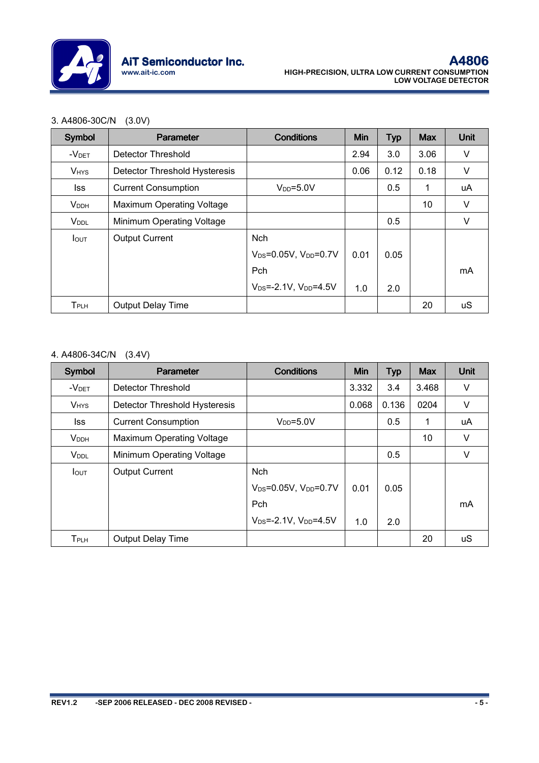

#### 3. A4806-30C/N (3.0V)

| Symbol                  | Parameter                        | <b>Conditions</b>                             | Min  | <b>Typ</b> | <b>Max</b> | Unit   |
|-------------------------|----------------------------------|-----------------------------------------------|------|------------|------------|--------|
| $-V$ DET                | <b>Detector Threshold</b>        |                                               | 2.94 | 3.0        | 3.06       | V      |
| <b>VHYS</b>             | Detector Threshold Hysteresis    |                                               | 0.06 | 0.12       | 0.18       | V      |
| lss                     | <b>Current Consumption</b>       | $V_{DD} = 5.0V$                               |      | 0.5        | 1          | uA     |
| <b>V</b> <sub>DDH</sub> | <b>Maximum Operating Voltage</b> |                                               |      |            | 10         | V      |
| <b>V</b> <sub>DDL</sub> | Minimum Operating Voltage        |                                               |      | 0.5        |            | $\vee$ |
| <b>I</b> OUT            | <b>Output Current</b>            | <b>Nch</b>                                    |      |            |            |        |
|                         |                                  | V <sub>DS</sub> =0.05V, V <sub>DD</sub> =0.7V | 0.01 | 0.05       |            |        |
|                         |                                  | Pch                                           |      |            |            | mA     |
|                         |                                  | $V_{DS} = -2.1V$ , $V_{DD} = 4.5V$            | 1.0  | 2.0        |            |        |
| $T_{\sf PLH}$           | <b>Output Delay Time</b>         |                                               |      |            | 20         | uS     |

#### 4. A4806-34C/N (3.4V)

| Symbol                  | <b>Parameter</b>              | <b>Conditions</b>                             | Min   | <b>Typ</b> | <b>Max</b> | Unit |
|-------------------------|-------------------------------|-----------------------------------------------|-------|------------|------------|------|
| $-VDET$                 | <b>Detector Threshold</b>     |                                               | 3.332 | 3.4        | 3.468      | V    |
| <b>VHYS</b>             | Detector Threshold Hysteresis |                                               | 0.068 | 0.136      | 0204       | V    |
| lss.                    | <b>Current Consumption</b>    | $V_{DD} = 5.0V$                               |       | 0.5        | 1          | uA   |
| <b>V<sub>DDH</sub></b>  | Maximum Operating Voltage     |                                               |       |            | 10         | V    |
| <b>V</b> <sub>DDL</sub> | Minimum Operating Voltage     |                                               |       | 0.5        |            | V    |
| $I_{\text{OUT}}$        | <b>Output Current</b>         | <b>Nch</b>                                    |       |            |            |      |
|                         |                               | V <sub>DS</sub> =0.05V, V <sub>DD</sub> =0.7V | 0.01  | 0.05       |            |      |
|                         |                               | Pch                                           |       |            |            | mA   |
|                         |                               | $V_{DS} = -2.1V$ , $V_{DD} = 4.5V$            | 1.0   | 2.0        |            |      |
| <b>T</b> PLH            | <b>Output Delay Time</b>      |                                               |       |            | 20         | uS   |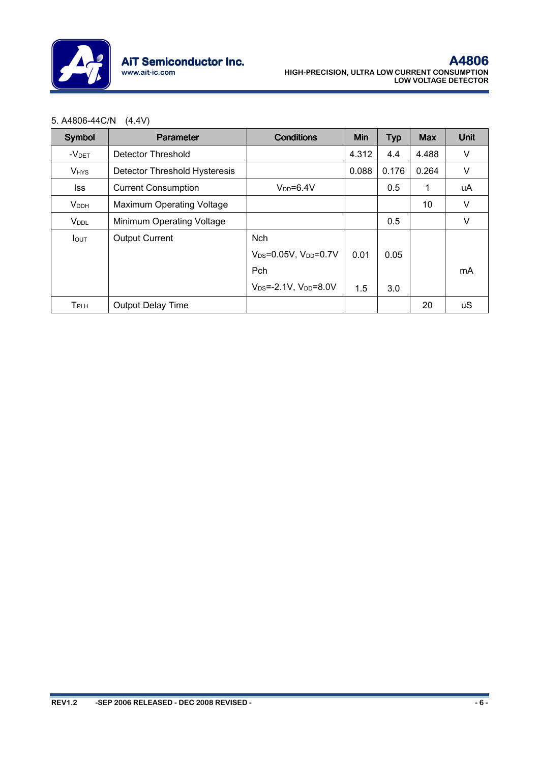

#### 5. A4806-44C/N (4.4V)

| Symbol                  | <b>Parameter</b>                 | <b>Conditions</b>                  | Min   | <b>Typ</b> | <b>Max</b> | Unit   |
|-------------------------|----------------------------------|------------------------------------|-------|------------|------------|--------|
| $-V$ DET                | Detector Threshold               |                                    | 4.312 | 4.4        | 4.488      | V      |
| <b>VHYS</b>             | Detector Threshold Hysteresis    |                                    | 0.088 | 0.176      | 0.264      | V      |
| lss.                    | <b>Current Consumption</b>       | $V_{DD} = 6.4V$                    |       | 0.5        | 1          | uA     |
| <b>V<sub>DDH</sub></b>  | <b>Maximum Operating Voltage</b> |                                    |       |            | 10         | $\vee$ |
| <b>V</b> <sub>DDL</sub> | Minimum Operating Voltage        |                                    |       | 0.5        |            | $\vee$ |
| <b>I</b> out            | <b>Output Current</b>            | <b>Nch</b>                         |       |            |            |        |
|                         |                                  | $V_{DS} = 0.05V$ , $V_{DD} = 0.7V$ | 0.01  | 0.05       |            |        |
|                         |                                  | Pch                                |       |            |            | mA     |
|                         |                                  | $V_{DS} = -2.1V$ , $V_{DD} = 8.0V$ | 1.5   | 3.0        |            |        |
| T <sub>PLH</sub>        | <b>Output Delay Time</b>         |                                    |       |            | 20         | uS     |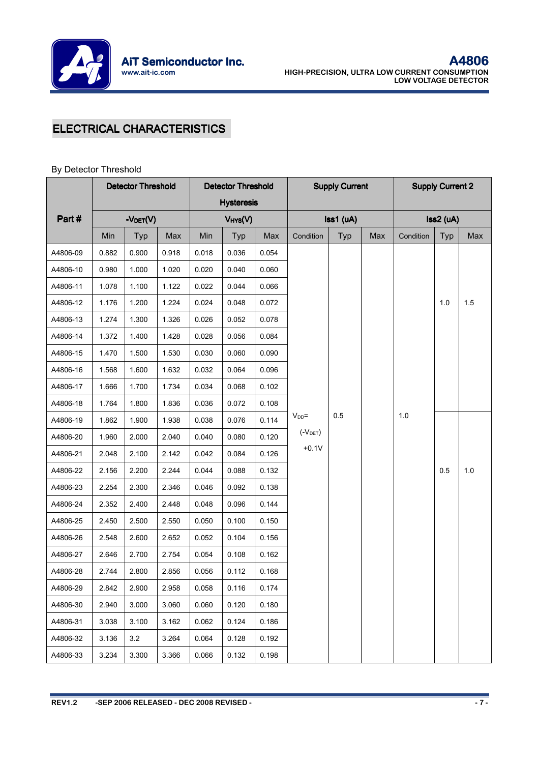

# **ELECTRICAL CHARACTERISTICS**

#### By Detector Threshold

|          |       | <b>Detector Threshold</b> |       |       | <b>Detector Threshold</b> |       |            | <b>Supply Current</b> |     |           | <b>Supply Current 2</b> |     |  |
|----------|-------|---------------------------|-------|-------|---------------------------|-------|------------|-----------------------|-----|-----------|-------------------------|-----|--|
|          |       |                           |       |       | <b>Hysteresis</b>         |       |            |                       |     |           |                         |     |  |
| Part#    |       | -VDET(V)                  |       |       | VHYS(V)                   |       |            | $\textsf{lss1 (uA)}$  |     |           | $Iss2$ (uA)             |     |  |
|          | Min   | Typ                       | Max   | Min   | Typ                       | Max   | Condition  | Typ                   | Max | Condition | Typ                     | Max |  |
| A4806-09 | 0.882 | 0.900                     | 0.918 | 0.018 | 0.036                     | 0.054 |            |                       |     |           |                         |     |  |
| A4806-10 | 0.980 | 1.000                     | 1.020 | 0.020 | 0.040                     | 0.060 |            |                       |     |           |                         |     |  |
| A4806-11 | 1.078 | 1.100                     | 1.122 | 0.022 | 0.044                     | 0.066 |            |                       |     |           |                         |     |  |
| A4806-12 | 1.176 | 1.200                     | 1.224 | 0.024 | 0.048                     | 0.072 |            |                       |     |           | 1.0                     | 1.5 |  |
| A4806-13 | 1.274 | 1.300                     | 1.326 | 0.026 | 0.052                     | 0.078 |            |                       |     |           |                         |     |  |
| A4806-14 | 1.372 | 1.400                     | 1.428 | 0.028 | 0.056                     | 0.084 |            |                       |     |           |                         |     |  |
| A4806-15 | 1.470 | 1.500                     | 1.530 | 0.030 | 0.060                     | 0.090 |            |                       |     |           |                         |     |  |
| A4806-16 | 1.568 | 1.600                     | 1.632 | 0.032 | 0.064                     | 0.096 |            |                       |     |           |                         |     |  |
| A4806-17 | 1.666 | 1.700                     | 1.734 | 0.034 | 0.068                     | 0.102 |            |                       |     |           |                         |     |  |
| A4806-18 | 1.764 | 1.800                     | 1.836 | 0.036 | 0.072                     | 0.108 |            |                       |     |           |                         |     |  |
| A4806-19 | 1.862 | 1.900                     | 1.938 | 0.038 | 0.076                     | 0.114 | $V_{DD}$ = | 0.5                   |     | 1.0       |                         |     |  |
| A4806-20 | 1.960 | 2.000                     | 2.040 | 0.040 | 0.080                     | 0.120 | $(V$ DET)  |                       |     |           |                         |     |  |
| A4806-21 | 2.048 | 2.100                     | 2.142 | 0.042 | 0.084                     | 0.126 | $+0.1V$    |                       |     |           |                         |     |  |
| A4806-22 | 2.156 | 2.200                     | 2.244 | 0.044 | 0.088                     | 0.132 |            |                       |     |           | 0.5                     | 1.0 |  |
| A4806-23 | 2.254 | 2.300                     | 2.346 | 0.046 | 0.092                     | 0.138 |            |                       |     |           |                         |     |  |
| A4806-24 | 2.352 | 2.400                     | 2.448 | 0.048 | 0.096                     | 0.144 |            |                       |     |           |                         |     |  |
| A4806-25 | 2.450 | 2.500                     | 2.550 | 0.050 | 0.100                     | 0.150 |            |                       |     |           |                         |     |  |
| A4806-26 | 2.548 | 2.600                     | 2.652 | 0.052 | 0.104                     | 0.156 |            |                       |     |           |                         |     |  |
| A4806-27 | 2.646 | 2.700                     | 2.754 | 0.054 | 0.108                     | 0.162 |            |                       |     |           |                         |     |  |
| A4806-28 | 2.744 | 2.800                     | 2.856 | 0.056 | 0.112                     | 0.168 |            |                       |     |           |                         |     |  |
| A4806-29 | 2.842 | 2.900                     | 2.958 | 0.058 | 0.116                     | 0.174 |            |                       |     |           |                         |     |  |
| A4806-30 | 2.940 | 3.000                     | 3.060 | 0.060 | 0.120                     | 0.180 |            |                       |     |           |                         |     |  |
| A4806-31 | 3.038 | 3.100                     | 3.162 | 0.062 | 0.124                     | 0.186 |            |                       |     |           |                         |     |  |
| A4806-32 | 3.136 | 3.2                       | 3.264 | 0.064 | 0.128                     | 0.192 |            |                       |     |           |                         |     |  |
| A4806-33 | 3.234 | 3.300                     | 3.366 | 0.066 | 0.132                     | 0.198 |            |                       |     |           |                         |     |  |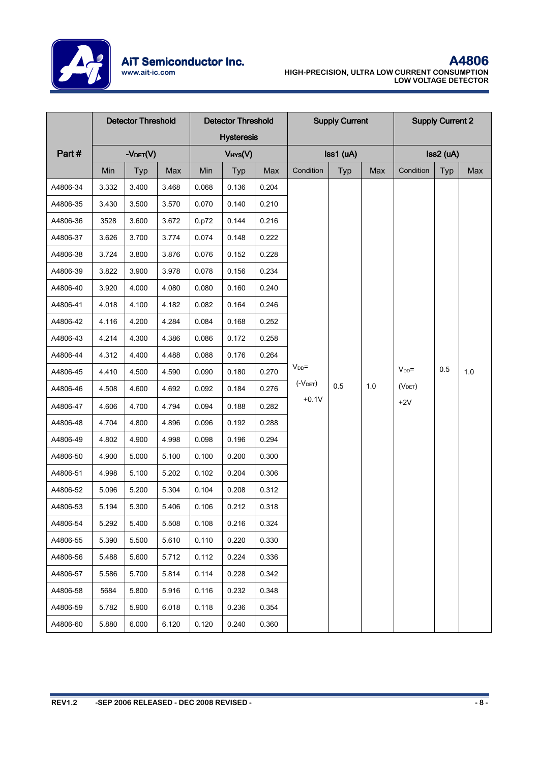

|          |       | <b>Detector Threshold</b> |       | <b>Detector Threshold</b> |                   |       | <b>Supply Current</b> | <b>Supply Current 2</b> |     |                     |     |     |
|----------|-------|---------------------------|-------|---------------------------|-------------------|-------|-----------------------|-------------------------|-----|---------------------|-----|-----|
|          |       |                           |       |                           | <b>Hysteresis</b> |       |                       |                         |     |                     |     |     |
| Part#    |       | -VDET(V)                  |       | $V$ HYS $(V)$             |                   |       | Iss1 (uA)             |                         |     | Iss2 (uA)           |     |     |
|          | Min   | Typ                       | Max   | Min                       | Typ               | Max   | Condition             | Typ                     | Max | Condition           | Typ | Max |
| A4806-34 | 3.332 | 3.400                     | 3.468 | 0.068                     | 0.136             | 0.204 |                       |                         |     |                     |     |     |
| A4806-35 | 3.430 | 3.500                     | 3.570 | 0.070                     | 0.140             | 0.210 |                       |                         |     |                     |     |     |
| A4806-36 | 3528  | 3.600                     | 3.672 | 0.p72                     | 0.144             | 0.216 |                       |                         |     |                     |     |     |
| A4806-37 | 3.626 | 3.700                     | 3.774 | 0.074                     | 0.148             | 0.222 |                       |                         |     |                     |     |     |
| A4806-38 | 3.724 | 3.800                     | 3.876 | 0.076                     | 0.152             | 0.228 |                       |                         |     |                     |     |     |
| A4806-39 | 3.822 | 3.900                     | 3.978 | 0.078                     | 0.156             | 0.234 |                       |                         |     |                     |     |     |
| A4806-40 | 3.920 | 4.000                     | 4.080 | 0.080                     | 0.160             | 0.240 |                       |                         |     |                     |     |     |
| A4806-41 | 4.018 | 4.100                     | 4.182 | 0.082                     | 0.164             | 0.246 |                       |                         |     |                     |     |     |
| A4806-42 | 4.116 | 4.200                     | 4.284 | 0.084                     | 0.168             | 0.252 |                       |                         |     |                     |     |     |
| A4806-43 | 4.214 | 4.300                     | 4.386 | 0.086                     | 0.172             | 0.258 |                       |                         |     |                     |     |     |
| A4806-44 | 4.312 | 4.400                     | 4.488 | 0.088                     | 0.176             | 0.264 |                       |                         |     |                     |     |     |
| A4806-45 | 4.410 | 4.500                     | 4.590 | 0.090                     | 0.180             | 0.270 | $V_{DD}$ =            |                         |     | $V_{DD}$ =          | 0.5 | 1.0 |
| A4806-46 | 4.508 | 4.600                     | 4.692 | 0.092                     | 0.184             | 0.276 | $(V$ DET)             | 0.5                     | 1.0 | (V <sub>DET</sub> ) |     |     |
| A4806-47 | 4.606 | 4.700                     | 4.794 | 0.094                     | 0.188             | 0.282 | $+0.1V$               |                         |     | $+2V$               |     |     |
| A4806-48 | 4.704 | 4.800                     | 4.896 | 0.096                     | 0.192             | 0.288 |                       |                         |     |                     |     |     |
| A4806-49 | 4.802 | 4.900                     | 4.998 | 0.098                     | 0.196             | 0.294 |                       |                         |     |                     |     |     |
| A4806-50 | 4.900 | 5.000                     | 5.100 | 0.100                     | 0.200             | 0.300 |                       |                         |     |                     |     |     |
| A4806-51 | 4.998 | 5.100                     | 5.202 | 0.102                     | 0.204             | 0.306 |                       |                         |     |                     |     |     |
| A4806-52 | 5.096 | 5.200                     | 5.304 | 0.104                     | 0.208             | 0.312 |                       |                         |     |                     |     |     |
| A4806-53 | 5.194 | 5.300                     | 5.406 | 0.106                     | 0.212             | 0.318 |                       |                         |     |                     |     |     |
| A4806-54 | 5.292 | 5.400                     | 5.508 | 0.108                     | 0.216             | 0.324 |                       |                         |     |                     |     |     |
| A4806-55 | 5.390 | 5.500                     | 5.610 | 0.110                     | 0.220             | 0.330 |                       |                         |     |                     |     |     |
| A4806-56 | 5.488 | 5.600                     | 5.712 | 0.112                     | 0.224             | 0.336 |                       |                         |     |                     |     |     |
| A4806-57 | 5.586 | 5.700                     | 5.814 | 0.114                     | 0.228             | 0.342 |                       |                         |     |                     |     |     |
| A4806-58 | 5684  | 5.800                     | 5.916 | 0.116                     | 0.232             | 0.348 |                       |                         |     |                     |     |     |
| A4806-59 | 5.782 | 5.900                     | 6.018 | 0.118                     | 0.236             | 0.354 |                       |                         |     |                     |     |     |
| A4806-60 | 5.880 | 6.000                     | 6.120 | 0.120                     | 0.240             | 0.360 |                       |                         |     |                     |     |     |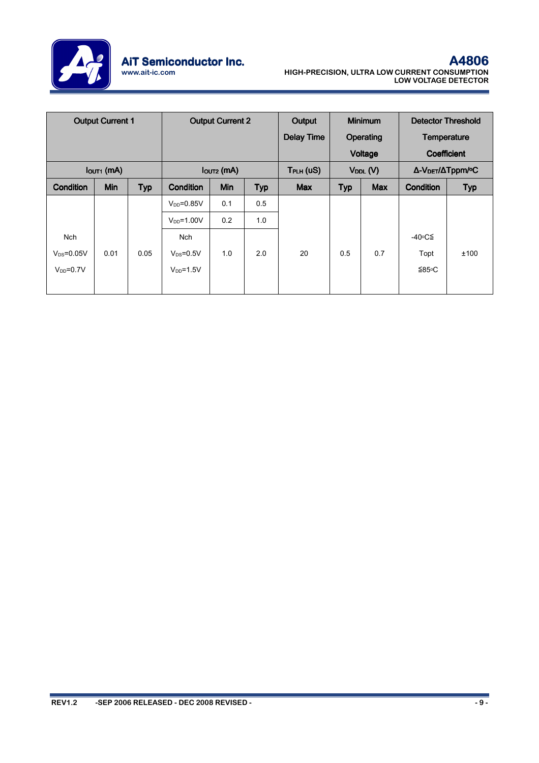

| <b>Output Current 1</b> |      |            | <b>Output Current 2</b>                                                |     |     | Output<br><b>Delay Time</b> | <b>Minimum</b><br>Operating |                             | <b>Detector Threshold</b><br>Temperature               |            |
|-------------------------|------|------------|------------------------------------------------------------------------|-----|-----|-----------------------------|-----------------------------|-----------------------------|--------------------------------------------------------|------------|
| $IOUT1$ (mA)            |      |            |                                                                        |     |     |                             |                             | Voltage                     | Coefficient                                            |            |
| Condition               | Min  | <b>Typ</b> | lout <sub>2</sub> (mA)<br><b>Min</b><br><b>Typ</b><br><b>Condition</b> |     |     | TPLH (US)<br><b>Max</b>     | <b>Typ</b>                  | $V_{DDL} (V)$<br><b>Max</b> | Δ-V <sub>DET</sub> /ΔTppm/ <sup>o</sup> C<br>Condition | <b>Typ</b> |
|                         |      |            |                                                                        |     |     |                             |                             |                             |                                                        |            |
|                         |      |            | $V_{DD} = 0.85V$                                                       | 0.1 | 0.5 |                             |                             |                             |                                                        |            |
|                         |      |            | $V_{DD} = 1.00V$                                                       | 0.2 | 1.0 |                             |                             |                             |                                                        |            |
| <b>Nch</b>              |      |            | Nch                                                                    |     |     |                             |                             |                             | -40∘C≦                                                 |            |
| $V_{DS} = 0.05V$        | 0.01 | 0.05       | $V_{DS}=0.5V$                                                          | 1.0 | 2.0 | 20                          | 0.5                         | 0.7                         | Topt                                                   | ±100       |
| $V_{DD} = 0.7V$         |      |            | $V_{DD} = 1.5V$                                                        |     |     |                             |                             |                             | ≦85∘C                                                  |            |
|                         |      |            |                                                                        |     |     |                             |                             |                             |                                                        |            |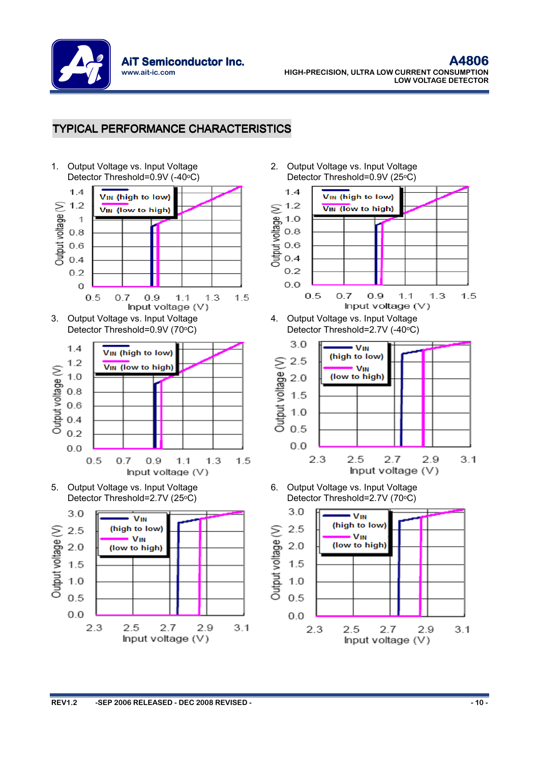

## **TYPICAL PERFORMANCE CHARACTERISTICS**



2. Output Voltage vs. Input Voltage Detector Threshold=0.9V (25°C)



4. Output Voltage vs. Input Voltage Detector Threshold=2.7V (-40°C)



6. Output Voltage vs. Input Voltage Detector Threshold=2.7V (70°C)

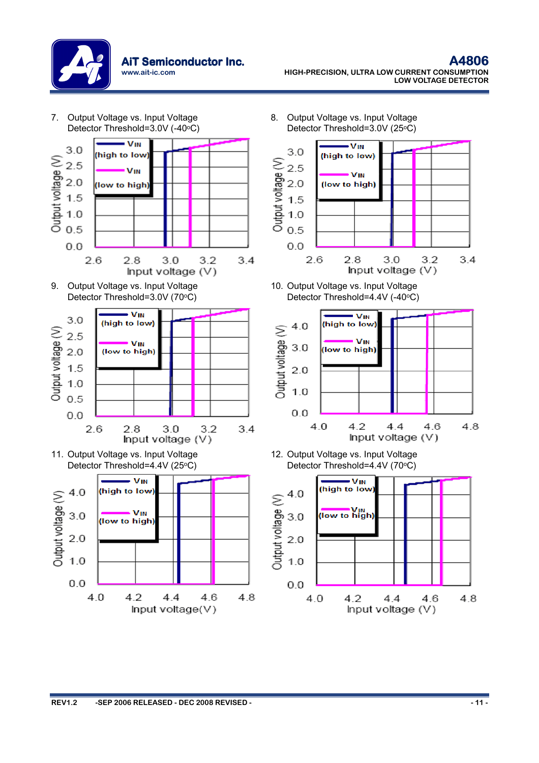

7. Output Voltage vs. Input Voltage 8. Output Voltage vs. Input Voltage Detector Threshold=3.0V (25°C) Detector Threshold=3.0V (-40°C)  $\overline{\mathbf{v}}$ <sub>IN</sub>  $\overline{\mathbf{v}}$ <sub>IN</sub>  $3.0$  $3.0$  $\begin{array}{r} 3.0 \\ \text{9000} \\ 2.5 \\ 2.0 \\ 1.5 \\ \text{1000} \\ \text{211} \\ 5.0 \\ \text{222} \\ 1.0 \\ \text{233} \\ 2.5 \\ 1.0 \\ \text{244} \\ 2.5 \\ \text{255} \\ 2.5 \\ \text{266} \\ 2.5 \\ \text{276} \\ 2.5 \\ \text{288} \\ 2.5 \\ \text{299} \\ 2.5 \\ \text{200} \\ 2.5 \\ \text{210} \\ 2.5 \\ \text{220} \\ 2.5 \\ \text{230} \\ 2.5 \\ \$ (high to low) (high to low) Output voltage (V) 2.5 VIN **V<sub>IN</sub>**  $2.0$ (low to high) (low to high) 1.5  $1.0$  $0.5$  $0.0$  $0.0$  $2.6$  $2.6$  $3.2$  $2.8$  $3.0$  $3.2$  $3.4$  $2.8$  $3.0$  $3.4$ Input voltage (V) Input voltage  $(V)$ 9. Output Voltage vs. Input Voltage 10. Output Voltage vs. Input Voltage Detector Threshold=3.0V (70°C) Detector Threshold=4.4V (-40°C)  $\overline{\mathbf{v}}$ **V<sub>IN</sub>**  $3.0$ (high to low) (high to low)  $4.0$ Output voltage (V) Output voltage (V)  $2.5$ **V<sub>IN</sub> V<sub>IN</sub>**  $3.0$  $2.0$ (low to high) (low to high)  $1.5$  $2.0$  $1.0$  $1.0$  $0.5$  $0.0$  $0.0$ 4.0  $4.2$  $4.4$ 4.8 4.6  $2.8$  $3.2$  $3.4$  $2.6$  $3.0$ Input voltage (V) Input voltage  $(V)$ 11. Output Voltage vs. Input Voltage 12. Output Voltage vs. Input Voltage Detector Threshold=4.4V (25°C) Detector Threshold=4.4V (70°C) - VIN - VIN (high to low) (high to low) Output voltage (V)  $4.0$  $4.0$ Output voltage (V)  $\overline{\text{U}}$  (low to high) **V<sub>IN</sub>**  $3.0$  $3.0$ (low to high)  $2.0$  $2.0$  $1.0$  $1.0$  $0.0$  $0.0$  $4.0$  $4.2$  $4.4$ 4.6 4.8  $4.0$ 4.2 44 4.6 4.8 Input voltage(V) Input voltage (V)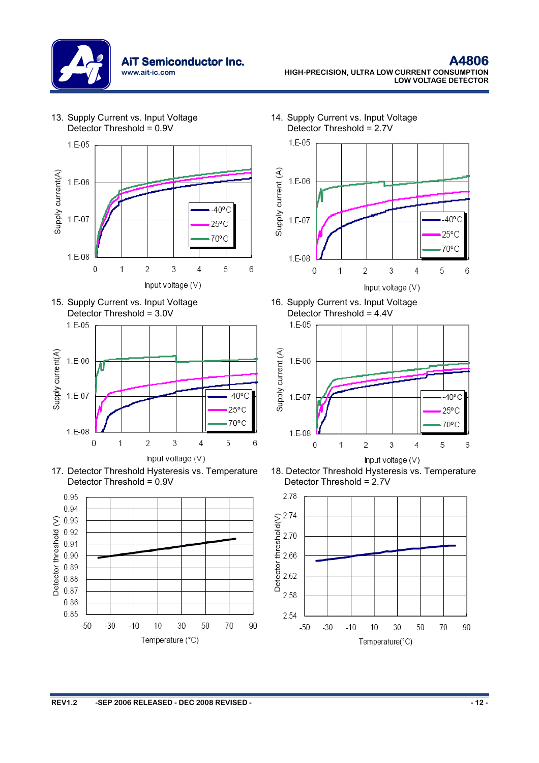

 $1.E-05$ Supply current(A)  $1.E-06$  $-40^{\circ}$ C  $1.E-07$  $25^{\circ}$ C 70°C  $1.E-08$  $\overline{2}$ 3 5  $\mathbf 0$ 1 4 6 Input voltage (V)





17. Detector Threshold Hysteresis vs. Temperature Detector Threshold = 0.9V



14. Supply Current vs. Input Voltage Detector Threshold = 2.7V



16. Supply Current vs. Input Voltage Detector Threshold =  $4.4V$ <br>1.5-05



18. Detector Threshold Hysteresis vs. Temperature Detector Threshold = 2.7V



Detector Threshold = 0.9V

13. Supply Current vs. Input Voltage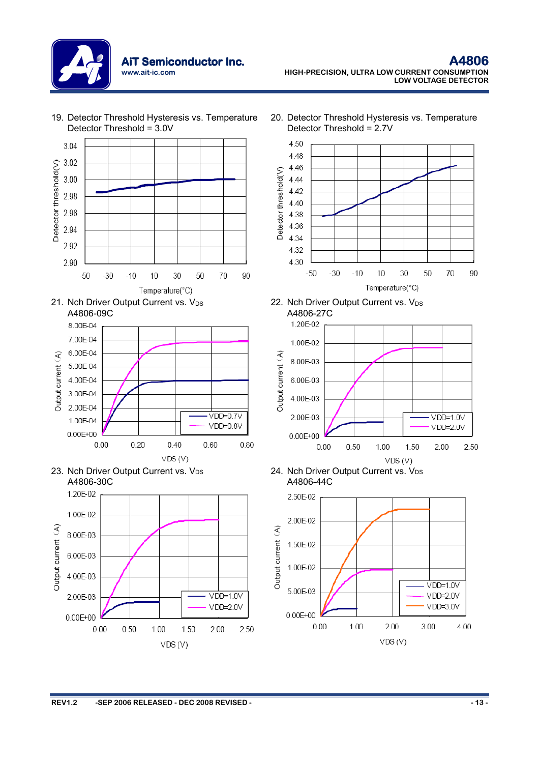

19. Detector Threshold Hysteresis vs. Temperature Detector Threshold = 3.0V





20. Detector Threshold Hysteresis vs. Temperature Detector Threshold = 2.7V







24. Nch Driver Output Current vs. V<sub>DS</sub> A4806-44C

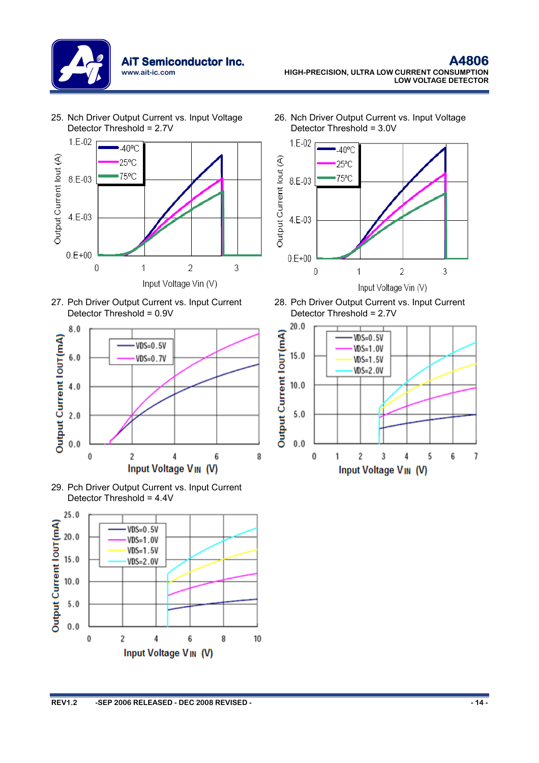

25. Nch Driver Output Current vs. Input Voltage Detector Threshold = 2.7V







29. Pch Driver Output Current vs. Input Current Detector Threshold = 4.4V



26. Nch Driver Output Current vs. Input Voltage Detector Threshold = 3.0V



28. Pch Driver Output Current vs. Input Current Detector Threshold = 2.7V

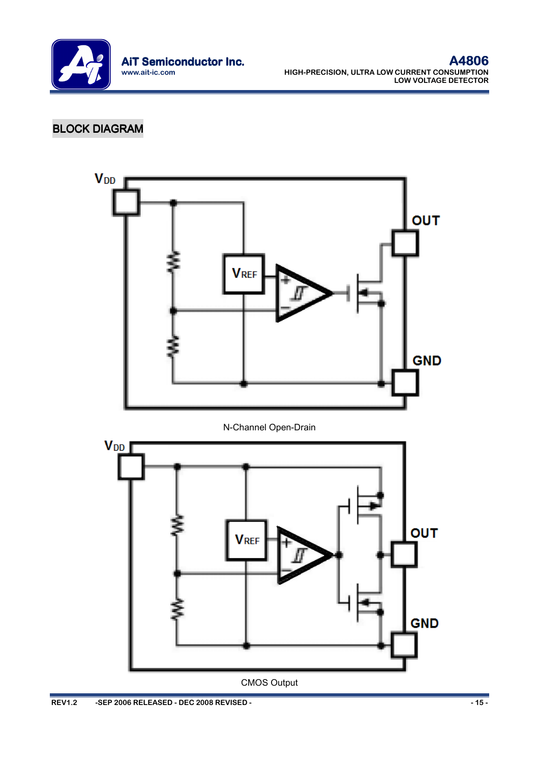

# **BLOCK DIAGRAM**

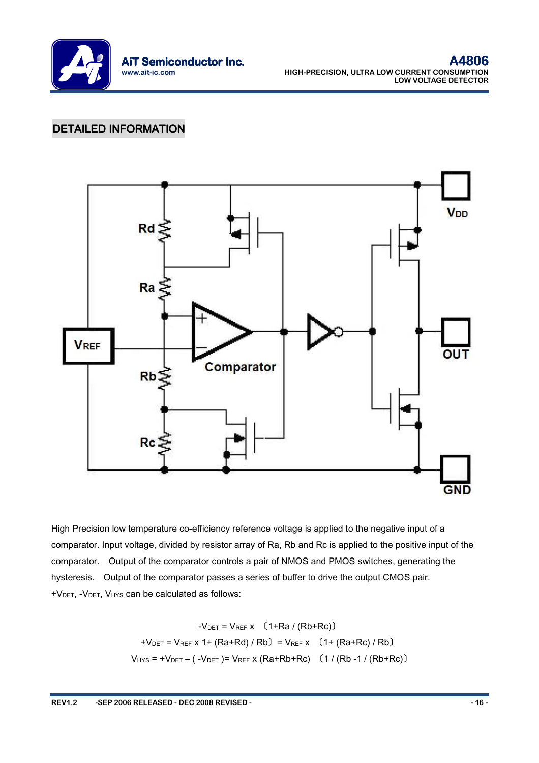

## DETAILED INFORMATION



High Precision low temperature co-efficiency reference voltage is applied to the negative input of a comparator. Input voltage, divided by resistor array of Ra, Rb and Rc is applied to the positive input of the comparator. Output of the comparator controls a pair of NMOS and PMOS switches, generating the hysteresis. Output of the comparator passes a series of buffer to drive the output CMOS pair. +VDET, -VDET, VHYS can be calculated as follows:

$$
-V_{\text{DET}} = V_{\text{REF X}} (1 + \text{Ra} / (\text{Rb} + \text{Rc}))
$$
  
+V\_{\text{DET}} = V\_{\text{REF X}} 1 + (\text{Ra} + \text{Rd}) / \text{Rb} = V\_{\text{REF X}} (1 + (\text{Ra} + \text{Rc}) / \text{Rb})  
V\_{\text{HYS}} = +V\_{\text{DET}} - (-V\_{\text{DET}}) = V\_{\text{REF X}} (\text{Ra} + \text{Rb} + \text{Rc}) (1 / (\text{Rb} - 1 / (\text{Rb} + \text{Rc}))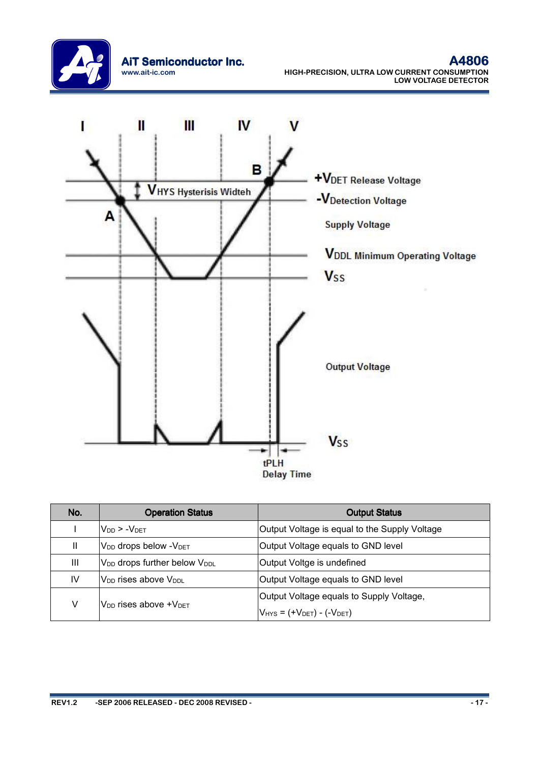



| No. | <b>Operation Status</b>                                                | <b>Output Status</b>                     |  |  |  |  |
|-----|------------------------------------------------------------------------|------------------------------------------|--|--|--|--|
|     | $V_{DD}$ > $-V_{DET}$<br>Output Voltage is equal to the Supply Voltage |                                          |  |  |  |  |
| Ш   | V <sub>DD</sub> drops below - V <sub>DET</sub>                         | Output Voltage equals to GND level       |  |  |  |  |
| Ш   | V <sub>DD</sub> drops further below V <sub>DDL</sub>                   | Output Voltge is undefined               |  |  |  |  |
| IV  | V <sub>DD</sub> rises above V <sub>DDL</sub>                           | Output Voltage equals to GND level       |  |  |  |  |
|     |                                                                        | Output Voltage equals to Supply Voltage, |  |  |  |  |
| V   | $V_{DD}$ rises above $+V_{DET}$                                        | $V_{HYS} = (+V_{DET}) - (-V_{DET})$      |  |  |  |  |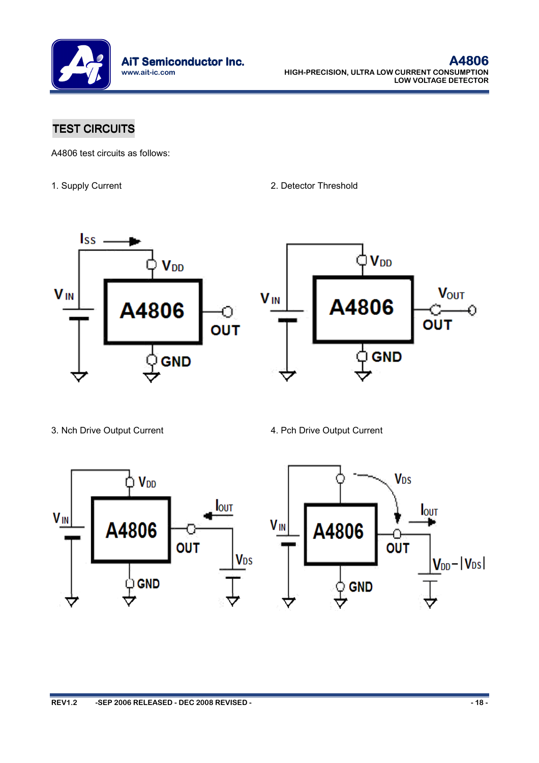

# TEST CIRCUITS

A4806 test circuits as follows:

1. Supply Current 2. Detector Threshold



3. Nch Drive Output Current 4. Pch Drive Output Current

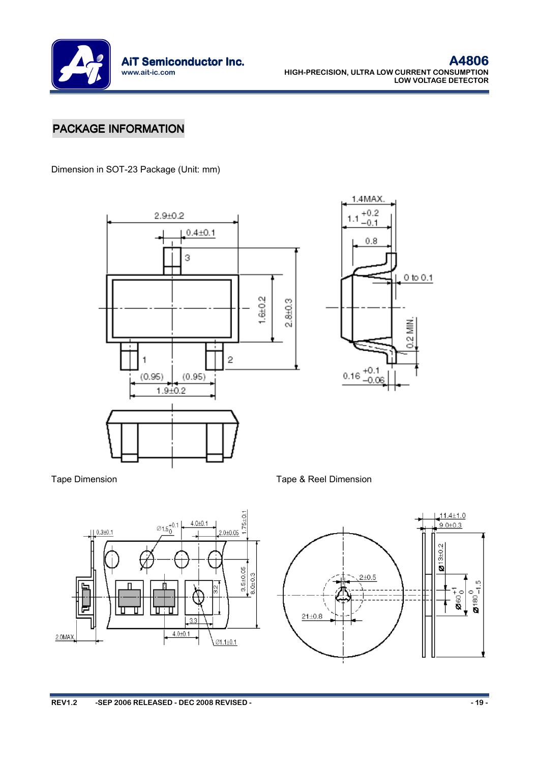

# PACKAGE INFORMATION

Dimension in SOT-23 Package (Unit: mm)







Tape Dimension Tape & Reel Dimension

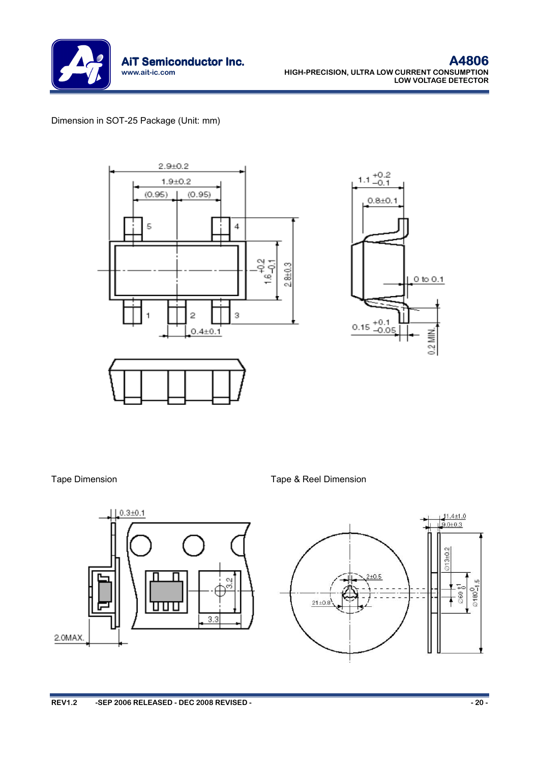

### Dimension in SOT-25 Package (Unit: mm)



Tape Dimension Tape & Reel Dimension